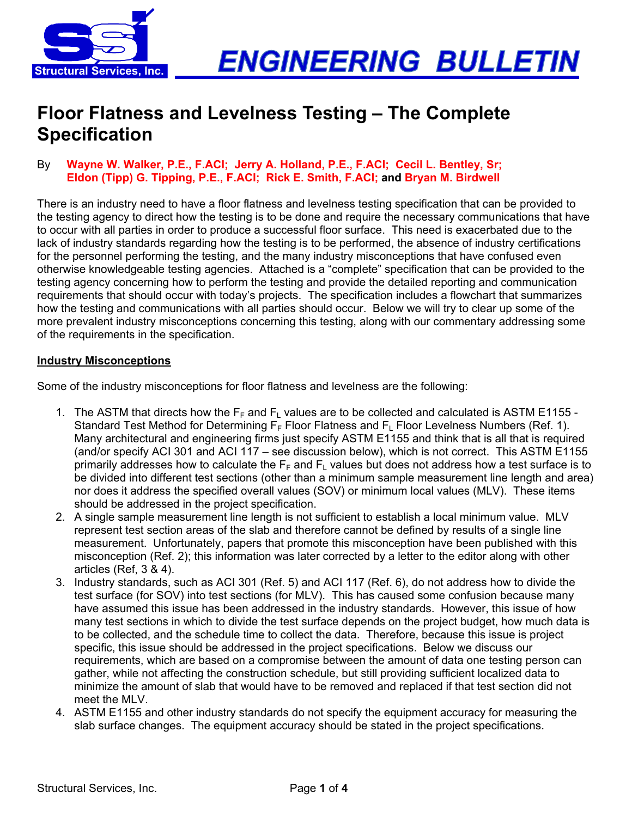

# **Floor Flatness and Levelness Testing – The Complete Specification**

#### By **Wayne W. Walker, P.E., F.ACI; Jerry A. Holland, P.E., F.ACI; Cecil L. Bentley, Sr; Eldon (Tipp) G. Tipping, P.E., F.ACI; Rick E. Smith, F.ACI; and Bryan M. Birdwell**

There is an industry need to have a floor flatness and levelness testing specification that can be provided to the testing agency to direct how the testing is to be done and require the necessary communications that have to occur with all parties in order to produce a successful floor surface. This need is exacerbated due to the lack of industry standards regarding how the testing is to be performed, the absence of industry certifications for the personnel performing the testing, and the many industry misconceptions that have confused even otherwise knowledgeable testing agencies. Attached is a "complete" specification that can be provided to the testing agency concerning how to perform the testing and provide the detailed reporting and communication requirements that should occur with today's projects. The specification includes a flowchart that summarizes how the testing and communications with all parties should occur. Below we will try to clear up some of the more prevalent industry misconceptions concerning this testing, along with our commentary addressing some of the requirements in the specification.

#### **Industry Misconceptions**

Some of the industry misconceptions for floor flatness and levelness are the following:

- 1. The ASTM that directs how the  $F_F$  and  $F_L$  values are to be collected and calculated is ASTM E1155 -Standard Test Method for Determining  $F_F$  Floor Flatness and  $F_L$  Floor Levelness Numbers (Ref. 1). Many architectural and engineering firms just specify ASTM E1155 and think that is all that is required (and/or specify ACI 301 and ACI 117 – see discussion below), which is not correct. This ASTM E1155 primarily addresses how to calculate the  $F_F$  and  $F_L$  values but does not address how a test surface is to be divided into different test sections (other than a minimum sample measurement line length and area) nor does it address the specified overall values (SOV) or minimum local values (MLV). These items should be addressed in the project specification.
- 2. A single sample measurement line length is not sufficient to establish a local minimum value. MLV represent test section areas of the slab and therefore cannot be defined by results of a single line measurement. Unfortunately, papers that promote this misconception have been published with this misconception (Ref. 2); this information was later corrected by a letter to the editor along with other articles (Ref, 3 & 4).
- 3. Industry standards, such as ACI 301 (Ref. 5) and ACI 117 (Ref. 6), do not address how to divide the test surface (for SOV) into test sections (for MLV). This has caused some confusion because many have assumed this issue has been addressed in the industry standards. However, this issue of how many test sections in which to divide the test surface depends on the project budget, how much data is to be collected, and the schedule time to collect the data. Therefore, because this issue is project specific, this issue should be addressed in the project specifications. Below we discuss our requirements, which are based on a compromise between the amount of data one testing person can gather, while not affecting the construction schedule, but still providing sufficient localized data to minimize the amount of slab that would have to be removed and replaced if that test section did not meet the MLV.
- 4. ASTM E1155 and other industry standards do not specify the equipment accuracy for measuring the slab surface changes. The equipment accuracy should be stated in the project specifications.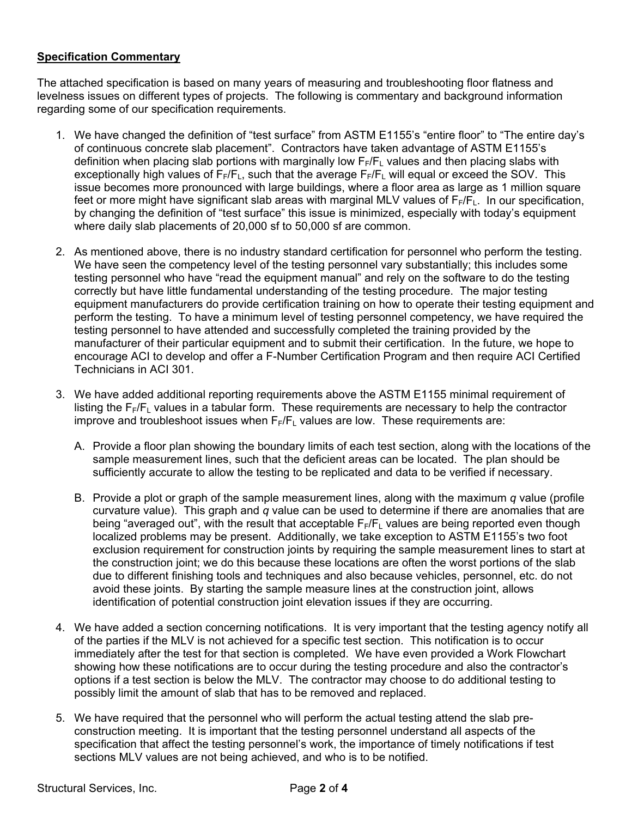### **Specification Commentary**

The attached specification is based on many years of measuring and troubleshooting floor flatness and levelness issues on different types of projects. The following is commentary and background information regarding some of our specification requirements.

- 1. We have changed the definition of "test surface" from ASTM E1155's "entire floor" to "The entire day's of continuous concrete slab placement". Contractors have taken advantage of ASTM E1155's definition when placing slab portions with marginally low  $F_F/F_L$  values and then placing slabs with exceptionally high values of  $F_F/F_L$ , such that the average  $F_F/F_L$  will equal or exceed the SOV. This issue becomes more pronounced with large buildings, where a floor area as large as 1 million square feet or more might have significant slab areas with marginal MLV values of  $F_F/F_L$ . In our specification, by changing the definition of "test surface" this issue is minimized, especially with today's equipment where daily slab placements of 20,000 sf to 50,000 sf are common.
- 2. As mentioned above, there is no industry standard certification for personnel who perform the testing. We have seen the competency level of the testing personnel vary substantially; this includes some testing personnel who have "read the equipment manual" and rely on the software to do the testing correctly but have little fundamental understanding of the testing procedure. The major testing equipment manufacturers do provide certification training on how to operate their testing equipment and perform the testing. To have a minimum level of testing personnel competency, we have required the testing personnel to have attended and successfully completed the training provided by the manufacturer of their particular equipment and to submit their certification. In the future, we hope to encourage ACI to develop and offer a F-Number Certification Program and then require ACI Certified Technicians in ACI 301.
- 3. We have added additional reporting requirements above the ASTM E1155 minimal requirement of listing the  $F_F/F_L$  values in a tabular form. These requirements are necessary to help the contractor improve and troubleshoot issues when  $F_F/F_F$  values are low. These requirements are:
	- A. Provide a floor plan showing the boundary limits of each test section, along with the locations of the sample measurement lines, such that the deficient areas can be located. The plan should be sufficiently accurate to allow the testing to be replicated and data to be verified if necessary.
	- B. Provide a plot or graph of the sample measurement lines, along with the maximum *q* value (profile curvature value). This graph and *q* value can be used to determine if there are anomalies that are being "averaged out", with the result that acceptable  $F_F/F_F$  values are being reported even though localized problems may be present. Additionally, we take exception to ASTM E1155's two foot exclusion requirement for construction joints by requiring the sample measurement lines to start at the construction joint; we do this because these locations are often the worst portions of the slab due to different finishing tools and techniques and also because vehicles, personnel, etc. do not avoid these joints. By starting the sample measure lines at the construction joint, allows identification of potential construction joint elevation issues if they are occurring.
- 4. We have added a section concerning notifications. It is very important that the testing agency notify all of the parties if the MLV is not achieved for a specific test section. This notification is to occur immediately after the test for that section is completed. We have even provided a Work Flowchart showing how these notifications are to occur during the testing procedure and also the contractor's options if a test section is below the MLV. The contractor may choose to do additional testing to possibly limit the amount of slab that has to be removed and replaced.
- 5. We have required that the personnel who will perform the actual testing attend the slab preconstruction meeting. It is important that the testing personnel understand all aspects of the specification that affect the testing personnel's work, the importance of timely notifications if test sections MLV values are not being achieved, and who is to be notified.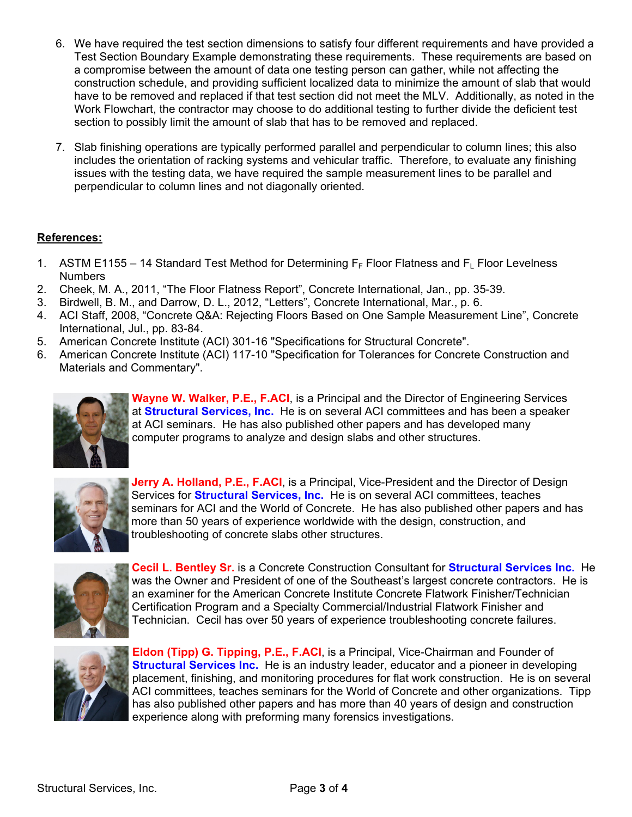- 6. We have required the test section dimensions to satisfy four different requirements and have provided a Test Section Boundary Example demonstrating these requirements. These requirements are based on a compromise between the amount of data one testing person can gather, while not affecting the construction schedule, and providing sufficient localized data to minimize the amount of slab that would have to be removed and replaced if that test section did not meet the MLV. Additionally, as noted in the Work Flowchart, the contractor may choose to do additional testing to further divide the deficient test section to possibly limit the amount of slab that has to be removed and replaced.
- 7. Slab finishing operations are typically performed parallel and perpendicular to column lines; this also includes the orientation of racking systems and vehicular traffic. Therefore, to evaluate any finishing issues with the testing data, we have required the sample measurement lines to be parallel and perpendicular to column lines and not diagonally oriented.

# **References:**

- 1. ASTM E1155 14 Standard Test Method for Determining  $F_F$  Floor Flatness and  $F_L$  Floor Levelness **Numbers**
- 2. Cheek, M. A., 2011, "The Floor Flatness Report", Concrete International, Jan., pp. 35-39.
- 3. Birdwell, B. M., and Darrow, D. L., 2012, "Letters", Concrete International, Mar., p. 6.
- 4. ACI Staff, 2008, "Concrete Q&A: Rejecting Floors Based on One Sample Measurement Line", Concrete International, Jul., pp. 83-84.
- 5. American Concrete Institute (ACI) 301-16 "Specifications for Structural Concrete".
- 6. American Concrete Institute (ACI) 117-10 "Specification for Tolerances for Concrete Construction and Materials and Commentary".



**Wayne W. Walker, P.E., F.ACI**, is a Principal and the Director of Engineering Services at **Structural Services, Inc.** He is on several ACI committees and has been a speaker at ACI seminars. He has also published other papers and has developed many computer programs to analyze and design slabs and other structures.



**Jerry A. Holland, P.E., F.ACI**, is a Principal, Vice-President and the Director of Design Services for **Structural Services, Inc.** He is on several ACI committees, teaches seminars for ACI and the World of Concrete. He has also published other papers and has more than 50 years of experience worldwide with the design, construction, and troubleshooting of concrete slabs other structures.



**Cecil L. Bentley Sr.** is a Concrete Construction Consultant for **Structural Services Inc.** He was the Owner and President of one of the Southeast's largest concrete contractors. He is an examiner for the American Concrete Institute Concrete Flatwork Finisher/Technician Certification Program and a Specialty Commercial/Industrial Flatwork Finisher and Technician. Cecil has over 50 years of experience troubleshooting concrete failures.



**Eldon (Tipp) G. Tipping, P.E., F.ACI**, is a Principal, Vice-Chairman and Founder of **Structural Services Inc.** He is an industry leader, educator and a pioneer in developing placement, finishing, and monitoring procedures for flat work construction. He is on several ACI committees, teaches seminars for the World of Concrete and other organizations. Tipp has also published other papers and has more than 40 years of design and construction experience along with preforming many forensics investigations.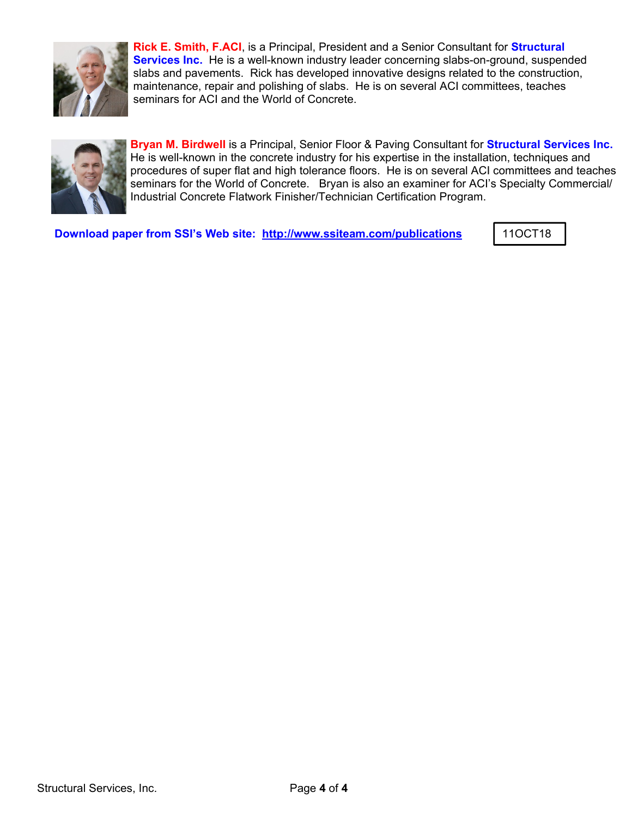

**Rick E. Smith, F.ACI**, is a Principal, President and a Senior Consultant for **Structural Services Inc.** He is a well-known industry leader concerning slabs-on-ground, suspended slabs and pavements. Rick has developed innovative designs related to the construction, maintenance, repair and polishing of slabs. He is on several ACI committees, teaches seminars for ACI and the World of Concrete.



**Bryan M. Birdwell** is a Principal, Senior Floor & Paving Consultant for **Structural Services Inc.** He is well-known in the concrete industry for his expertise in the installation, techniques and procedures of super flat and high tolerance floors. He is on several ACI committees and teaches seminars for the World of Concrete. Bryan is also an examiner for ACI's Specialty Commercial/ Industrial Concrete Flatwork Finisher/Technician Certification Program.

**Download paper from SSI's Web site: http://www.ssiteam.com/publications | 11OCT18**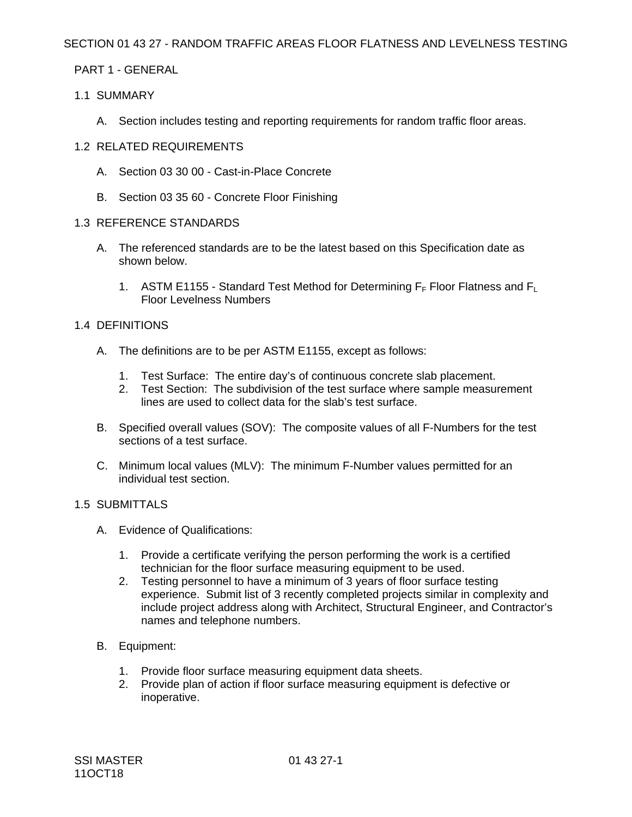### SECTION 01 43 27 - RANDOM TRAFFIC AREAS FLOOR FLATNESS AND LEVELNESS TESTING

# PART 1 - GENERAL

# 1.1 SUMMARY

A. Section includes testing and reporting requirements for random traffic floor areas.

### 1.2 RELATED REQUIREMENTS

- A. Section 03 30 00 Cast-in-Place Concrete
- B. Section 03 35 60 Concrete Floor Finishing

#### 1.3 REFERENCE STANDARDS

- A. The referenced standards are to be the latest based on this Specification date as shown below.
	- 1. ASTM E1155 Standard Test Method for Determining  $F_F$  Floor Flatness and  $F_L$ Floor Levelness Numbers

### 1.4 DEFINITIONS

- A. The definitions are to be per ASTM E1155, except as follows:
	- 1. Test Surface: The entire day's of continuous concrete slab placement.
	- 2. Test Section: The subdivision of the test surface where sample measurement lines are used to collect data for the slab's test surface.
- B. Specified overall values (SOV): The composite values of all F-Numbers for the test sections of a test surface.
- C. Minimum local values (MLV): The minimum F-Number values permitted for an individual test section.

#### 1.5 SUBMITTALS

- A. Evidence of Qualifications:
	- 1. Provide a certificate verifying the person performing the work is a certified technician for the floor surface measuring equipment to be used.
	- 2. Testing personnel to have a minimum of 3 years of floor surface testing experience. Submit list of 3 recently completed projects similar in complexity and include project address along with Architect, Structural Engineer, and Contractor's names and telephone numbers.
- B. Equipment:
	- 1. Provide floor surface measuring equipment data sheets.
	- 2. Provide plan of action if floor surface measuring equipment is defective or inoperative.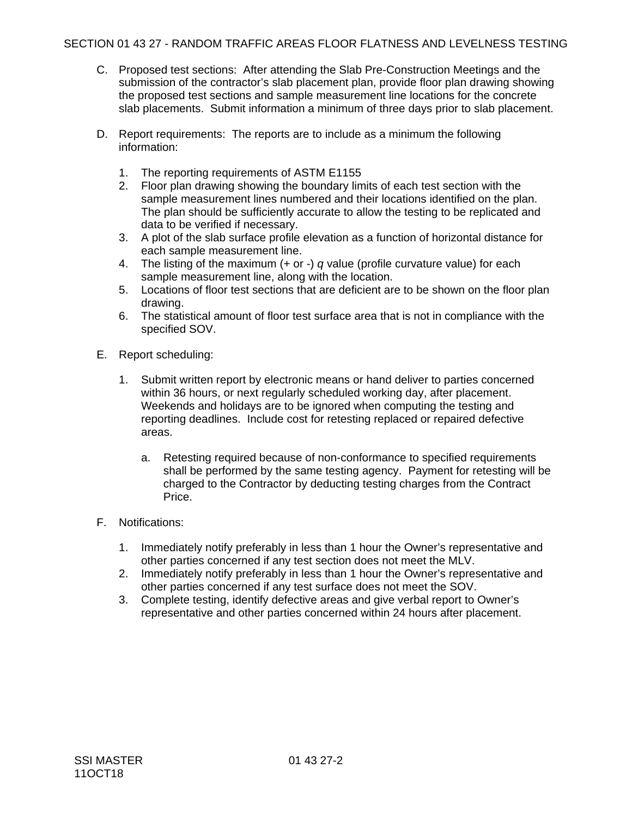- C. Proposed test sections: After attending the Slab Pre-Construction Meetings and the submission of the contractor's slab placement plan, provide floor plan drawing showing the proposed test sections and sample measurement line locations for the concrete slab placements. Submit information a minimum of three days prior to slab placement.
- D. Report requirements: The reports are to include as a minimum the following information:
	- 1. The reporting requirements of ASTM E1155
	- 2. Floor plan drawing showing the boundary limits of each test section with the sample measurement lines numbered and their locations identified on the plan. The plan should be sufficiently accurate to allow the testing to be replicated and data to be verified if necessary.
	- 3. A plot of the slab surface profile elevation as a function of horizontal distance for each sample measurement line.
	- 4. The listing of the maximum (+ or -) *q* value (profile curvature value) for each sample measurement line, along with the location.
	- 5. Locations of floor test sections that are deficient are to be shown on the floor plan drawing.
	- 6. The statistical amount of floor test surface area that is not in compliance with the specified SOV.
- E. Report scheduling:
	- 1. Submit written report by electronic means or hand deliver to parties concerned within 36 hours, or next regularly scheduled working day, after placement. Weekends and holidays are to be ignored when computing the testing and reporting deadlines. Include cost for retesting replaced or repaired defective areas.
		- a. Retesting required because of non-conformance to specified requirements shall be performed by the same testing agency. Payment for retesting will be charged to the Contractor by deducting testing charges from the Contract Price.
- F. Notifications:
	- 1. Immediately notify preferably in less than 1 hour the Owner's representative and other parties concerned if any test section does not meet the MLV.
	- 2. Immediately notify preferably in less than 1 hour the Owner's representative and other parties concerned if any test surface does not meet the SOV.
	- 3. Complete testing, identify defective areas and give verbal report to Owner's representative and other parties concerned within 24 hours after placement.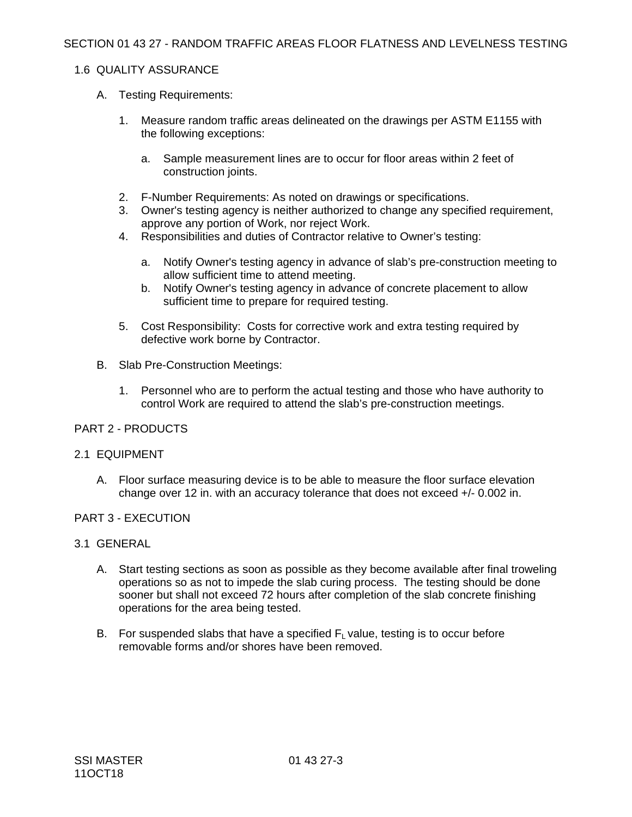#### 1.6 QUALITY ASSURANCE

- A. Testing Requirements:
	- 1. Measure random traffic areas delineated on the drawings per ASTM E1155 with the following exceptions:
		- a. Sample measurement lines are to occur for floor areas within 2 feet of construction joints.
	- 2. F-Number Requirements: As noted on drawings or specifications.
	- 3. Owner's testing agency is neither authorized to change any specified requirement, approve any portion of Work, nor reject Work.
	- 4. Responsibilities and duties of Contractor relative to Owner's testing:
		- a. Notify Owner's testing agency in advance of slab's pre-construction meeting to allow sufficient time to attend meeting.
		- b. Notify Owner's testing agency in advance of concrete placement to allow sufficient time to prepare for required testing.
	- 5. Cost Responsibility: Costs for corrective work and extra testing required by defective work borne by Contractor.
- B. Slab Pre-Construction Meetings:
	- 1. Personnel who are to perform the actual testing and those who have authority to control Work are required to attend the slab's pre-construction meetings.

#### PART 2 - PRODUCTS

#### 2.1 EQUIPMENT

A. Floor surface measuring device is to be able to measure the floor surface elevation change over 12 in. with an accuracy tolerance that does not exceed +/- 0.002 in.

#### PART 3 - EXECUTION

#### 3.1 GENERAL

- A. Start testing sections as soon as possible as they become available after final troweling operations so as not to impede the slab curing process. The testing should be done sooner but shall not exceed 72 hours after completion of the slab concrete finishing operations for the area being tested.
- B. For suspended slabs that have a specified  $F<sub>1</sub>$  value, testing is to occur before removable forms and/or shores have been removed.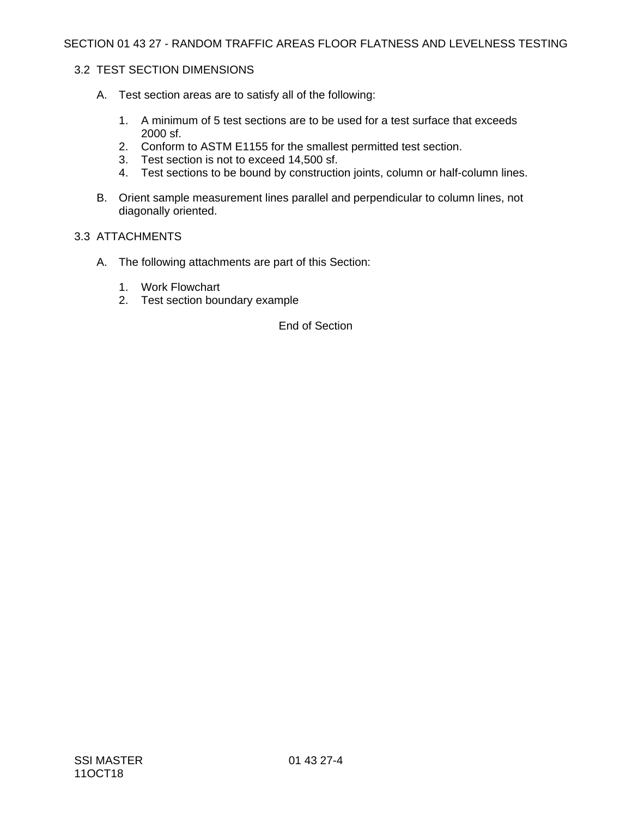### 3.2 TEST SECTION DIMENSIONS

- A. Test section areas are to satisfy all of the following:
	- 1. A minimum of 5 test sections are to be used for a test surface that exceeds 2000 sf.
	- 2. Conform to ASTM E1155 for the smallest permitted test section.
	- 3. Test section is not to exceed 14,500 sf.
	- 4. Test sections to be bound by construction joints, column or half-column lines.
- B. Orient sample measurement lines parallel and perpendicular to column lines, not diagonally oriented.

#### 3.3 ATTACHMENTS

- A. The following attachments are part of this Section:
	- 1. Work Flowchart
	- 2. Test section boundary example

End of Section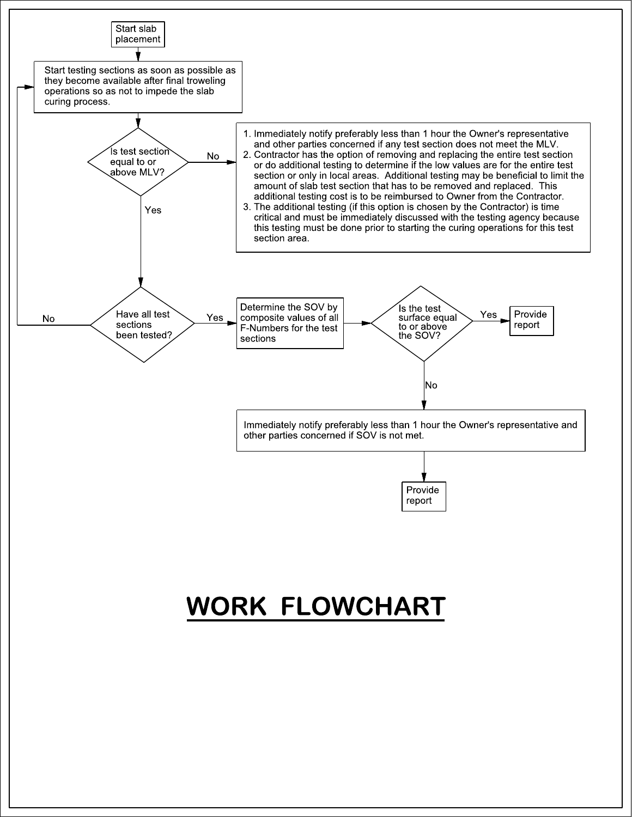



# WORK FLOWCHART